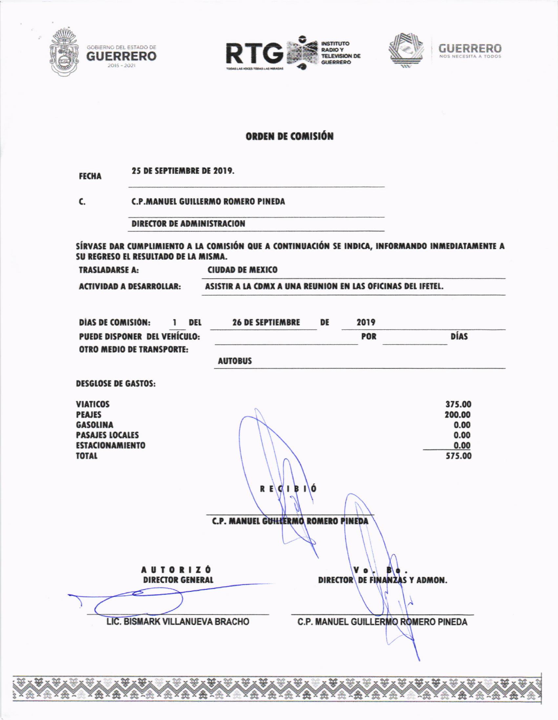







## **ORDEN DE COMISIÓN**

25 DE SEPTIEMBRE DE 2019. **FECHA** C. **C.P.MANUEL GUILLERMO ROMERO PINEDA DIRECTOR DE ADMINISTRACION** SÍRVASE DAR CUMPLIMIENTO A LA COMISIÓN QUE A CONTINUACIÓN SE INDICA, INFORMANDO INMEDIATAMENTE A SU REGRESO EL RESULTADO DE LA MISMA. **TRASLADARSE A: CIUDAD DE MEXICO ACTIVIDAD A DESARROLLAR:** ASISTIR A LA CDMX A UNA REUNION EN LAS OFICINAS DEL IFETEL. **DIAS DE COMISIÓN:**  $\mathbf{1}$ DEL **26 DE SEPTIEMBRE** DE 2019 PUEDE DISPONER DEL VEHÍCULO: POR **DÍAS OTRO MEDIO DE TRANSPORTE: AUTOBUS DESGLOSE DE GASTOS: VIATICOS** 375.00 **PEAJES** 200.00 **GASOLINA**  $0.00$ **PASAJES LOCALES**  $0.00$ **ESTACIONAMIENTO**  $0.00$ **TOTAL** 575.00  $R E G I B I$ C.P. MANUEL GUILLERMO ROMERO PINEDA **AUTORIZÓ** V o **DIRECTOR DE FINANZAS Y ADMON. DIRECTOR GENERAL LIC. BISMARK VILLANUEVA BRACHO C.P. MANUEL GUILLERMO ROMERO PINEDA**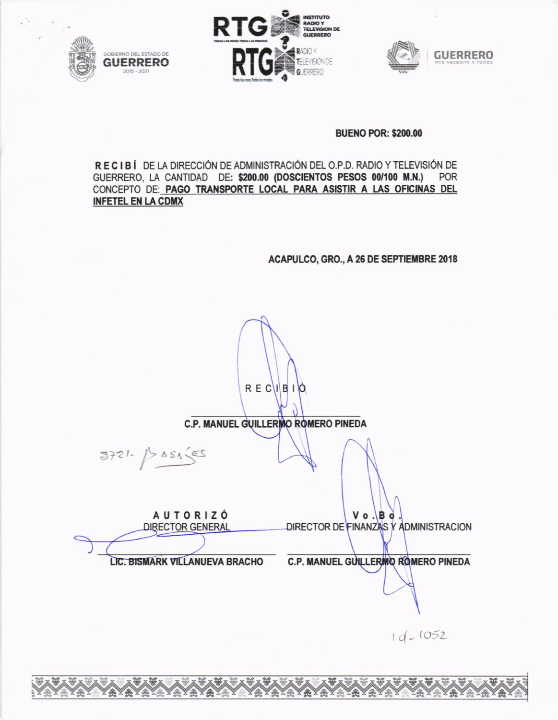





**BUENO POR: \$200.00** 

RECIBÍ DE LA DIRECCIÓN DE ADMINISTRACIÓN DEL O.P.D. RADIO Y TELEVISIÓN DE GUERRERO, LA CANTIDAD DE: \$200.00 (DOSCIENTOS PESOS 00/100 M.N.) POR CONCEPTO DE: PAGO TRANSPORTE LOCAL PARA ASISTIR A LAS OFICINAS DEL **INFETEL EN LA CDMX** 

ACAPULCO, GRO., A 26 DE SEPTIEMBRE 2018